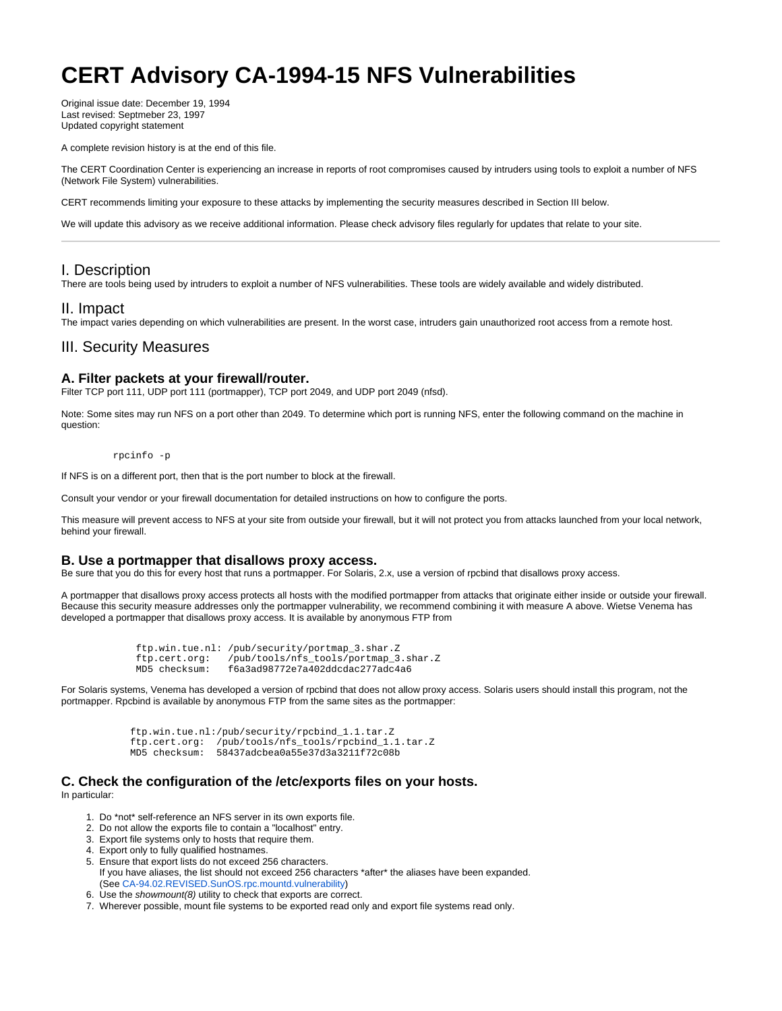# **CERT Advisory CA-1994-15 NFS Vulnerabilities**

Original issue date: December 19, 1994 Last revised: Septmeber 23, 1997 Updated copyright statement

A complete revision history is at the end of this file.

The CERT Coordination Center is experiencing an increase in reports of root compromises caused by intruders using tools to exploit a number of NFS (Network File System) vulnerabilities.

CERT recommends limiting your exposure to these attacks by implementing the security measures described in Section III below.

We will update this advisory as we receive additional information. Please check advisory files regularly for updates that relate to your site.

# I. Description

There are tools being used by intruders to exploit a number of NFS vulnerabilities. These tools are widely available and widely distributed.

### II. Impact

The impact varies depending on which vulnerabilities are present. In the worst case, intruders gain unauthorized root access from a remote host.

## III. Security Measures

#### **A. Filter packets at your firewall/router.**

Filter TCP port 111, UDP port 111 (portmapper), TCP port 2049, and UDP port 2049 (nfsd).

Note: Some sites may run NFS on a port other than 2049. To determine which port is running NFS, enter the following command on the machine in question:

rpcinfo -p

If NFS is on a different port, then that is the port number to block at the firewall.

Consult your vendor or your firewall documentation for detailed instructions on how to configure the ports.

This measure will prevent access to NFS at your site from outside your firewall, but it will not protect you from attacks launched from your local network, behind your firewall.

#### **B. Use a portmapper that disallows proxy access.**

Be sure that you do this for every host that runs a portmapper. For Solaris, 2.x, use a version of rpcbind that disallows proxy access.

A portmapper that disallows proxy access protects all hosts with the modified portmapper from attacks that originate either inside or outside your firewall. Because this security measure addresses only the portmapper vulnerability, we recommend combining it with measure A above. Wietse Venema has developed a portmapper that disallows proxy access. It is available by anonymous FTP from

```
 ftp.win.tue.nl: /pub/security/portmap_3.shar.Z
ftp.cert.org: /pub/tools/nfs_tools/portmap_3.shar.Z
MD5 checksum: f6a3ad98772e7a402ddcdac277adc4a6
```
For Solaris systems, Venema has developed a version of rpcbind that does not allow proxy access. Solaris users should install this program, not the portmapper. Rpcbind is available by anonymous FTP from the same sites as the portmapper:

```
 ftp.win.tue.nl:/pub/security/rpcbind_1.1.tar.Z
ftp.cert.org: /pub/tools/nfs_tools/rpcbind_1.1.tar.Z
MD5 checksum: 58437adcbea0a55e37d3a3211f72c08b
```
# **C. Check the configuration of the /etc/exports files on your hosts.**

In particular:

- 1. Do \*not\* self-reference an NFS server in its own exports file.
- 2. Do not allow the exports file to contain a "localhost" entry.
- 3. Export file systems only to hosts that require them.
- 4. Export only to fully qualified hostnames.
- 5. Ensure that export lists do not exceed 256 characters. If you have aliases, the list should not exceed 256 characters \*after\* the aliases have been expanded. (See [CA-94.02.REVISED.SunOS.rpc.mountd.vulnerability](http://www.cert.org/advisories/CA-94.02.REVISED.SunOS.rpc.mountd.vulnerability.html))
- 6. Use the showmount(8) utility to check that exports are correct.
- 7. Wherever possible, mount file systems to be exported read only and export file systems read only.